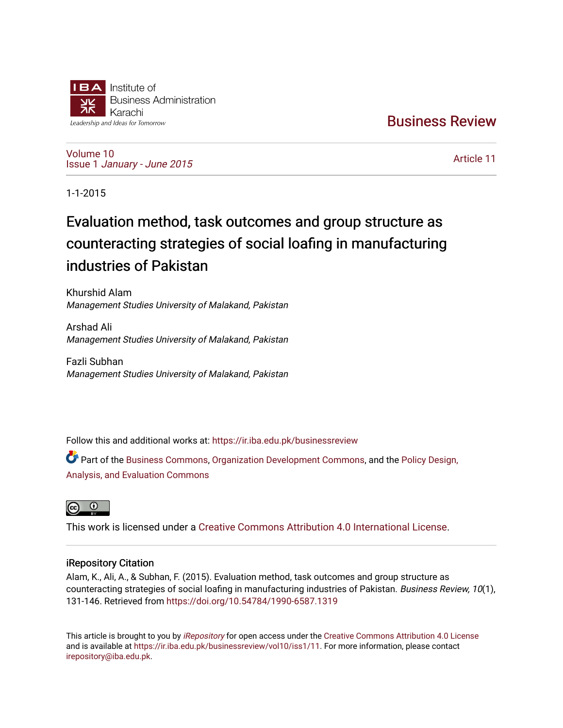

[Business Review](https://ir.iba.edu.pk/businessreview) 

[Volume 10](https://ir.iba.edu.pk/businessreview/vol10) Issue 1 [January - June 2015](https://ir.iba.edu.pk/businessreview/vol10/iss1) 

[Article 11](https://ir.iba.edu.pk/businessreview/vol10/iss1/11) 

1-1-2015

# Evaluation method, task outcomes and group structure as counteracting strategies of social loafing in manufacturing industries of Pakistan

Khurshid Alam Management Studies University of Malakand, Pakistan

Arshad Ali Management Studies University of Malakand, Pakistan

Fazli Subhan Management Studies University of Malakand, Pakistan

Follow this and additional works at: [https://ir.iba.edu.pk/businessreview](https://ir.iba.edu.pk/businessreview?utm_source=ir.iba.edu.pk%2Fbusinessreview%2Fvol10%2Fiss1%2F11&utm_medium=PDF&utm_campaign=PDFCoverPages) 

Part of the [Business Commons](http://network.bepress.com/hgg/discipline/622?utm_source=ir.iba.edu.pk%2Fbusinessreview%2Fvol10%2Fiss1%2F11&utm_medium=PDF&utm_campaign=PDFCoverPages), [Organization Development Commons,](http://network.bepress.com/hgg/discipline/1242?utm_source=ir.iba.edu.pk%2Fbusinessreview%2Fvol10%2Fiss1%2F11&utm_medium=PDF&utm_campaign=PDFCoverPages) and the [Policy Design,](http://network.bepress.com/hgg/discipline/1032?utm_source=ir.iba.edu.pk%2Fbusinessreview%2Fvol10%2Fiss1%2F11&utm_medium=PDF&utm_campaign=PDFCoverPages)  [Analysis, and Evaluation Commons](http://network.bepress.com/hgg/discipline/1032?utm_source=ir.iba.edu.pk%2Fbusinessreview%2Fvol10%2Fiss1%2F11&utm_medium=PDF&utm_campaign=PDFCoverPages) 



This work is licensed under a [Creative Commons Attribution 4.0 International License](https://creativecommons.org/licenses/by/4.0/).

# iRepository Citation

Alam, K., Ali, A., & Subhan, F. (2015). Evaluation method, task outcomes and group structure as counteracting strategies of social loafing in manufacturing industries of Pakistan. Business Review, 10(1), 131-146. Retrieved from<https://doi.org/10.54784/1990-6587.1319>

This article is brought to you by [iRepository](https://ir.iba.edu.pk/) for open access under the Creative Commons Attribution 4.0 License and is available at <https://ir.iba.edu.pk/businessreview/vol10/iss1/11>. For more information, please contact [irepository@iba.edu.pk.](mailto:irepository@iba.edu.pk)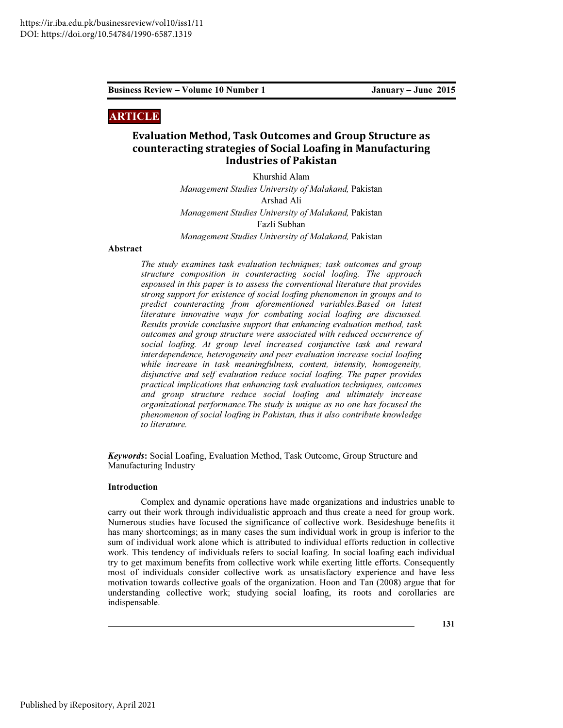# ARTICLE

# Evaluation Method, Task Outcomes and Group Structure as counteracting strategies of Social Loafing in Manufacturing Industries of Pakistan

Khurshid Alam *Management Studies University of Malakand,* Pakistan Arshad Ali *Management Studies University of Malakand,* Pakistan Fazli Subhan *Management Studies University of Malakand,* Pakistan

## Abstract

*The study examines task evaluation techniques; task outcomes and group structure composition in counteracting social loafing. The approach espoused in this paper is to assess the conventional literature that provides strong support for existence of social loafing phenomenon in groups and to predict counteracting from aforementioned variables.Based on latest literature innovative ways for combating social loafing are discussed. Results provide conclusive support that enhancing evaluation method, task outcomes and group structure were associated with reduced occurrence of social loafing. At group level increased conjunctive task and reward interdependence, heterogeneity and peer evaluation increase social loafing while increase in task meaningfulness, content, intensity, homogeneity, disjunctive and self evaluation reduce social loafing. The paper provides practical implications that enhancing task evaluation techniques, outcomes and group structure reduce social loafing and ultimately increase organizational performance.The study is unique as no one has focused the phenomenon of social loafing in Pakistan, thus it also contribute knowledge to literature.* 

Keywords: Social Loafing, Evaluation Method, Task Outcome, Group Structure and Manufacturing Industry

#### Introduction

Complex and dynamic operations have made organizations and industries unable to carry out their work through individualistic approach and thus create a need for group work. Numerous studies have focused the significance of collective work. Besideshuge benefits it has many shortcomings; as in many cases the sum individual work in group is inferior to the sum of individual work alone which is attributed to individual efforts reduction in collective work. This tendency of individuals refers to social loafing. In social loafing each individual try to get maximum benefits from collective work while exerting little efforts. Consequently most of individuals consider collective work as unsatisfactory experience and have less motivation towards collective goals of the organization. Hoon and Tan (2008) argue that for understanding collective work; studying social loafing, its roots and corollaries are indispensable.

131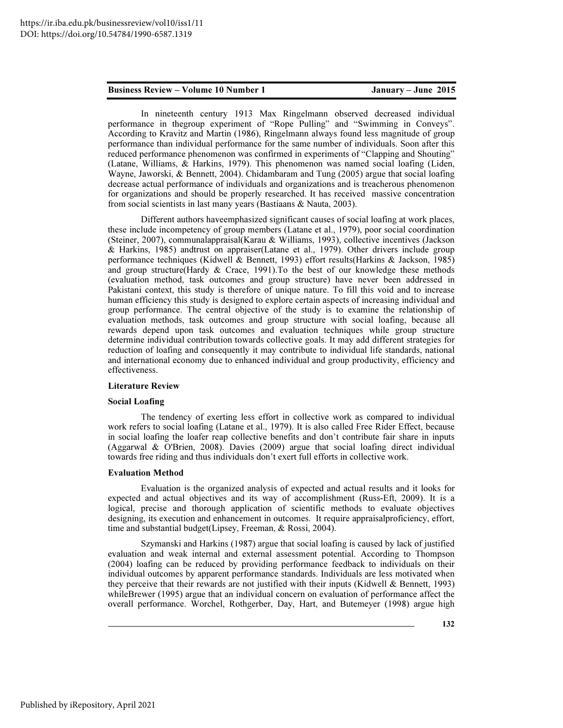In nineteenth century 1913 Max Ringelmann observed decreased individual performance in thegroup experiment of "Rope Pulling" and "Swimming in Conveys". According to Kravitz and Martin (1986), Ringelmann always found less magnitude of group performance than individual performance for the same number of individuals. Soon after this reduced performance phenomenon was confirmed in experiments of "Clapping and Shouting" (Latane, Williams, & Harkins, 1979). This phenomenon was named social loafing (Liden, Wayne, Jaworski, & Bennett, 2004). Chidambaram and Tung (2005) argue that social loafing decrease actual performance of individuals and organizations and is treacherous phenomenon for organizations and should be properly researched. It has received massive concentration from social scientists in last many years (Bastiaans & Nauta, 2003).

Different authors haveemphasized significant causes of social loafing at work places, these include incompetency of group members (Latane et al., 1979), poor social coordination (Steiner, 2007), communalappraisal(Karau & Williams, 1993), collective incentives (Jackson & Harkins, 1985) andtrust on appraiser(Latane et al., 1979). Other drivers include group performance techniques (Kidwell & Bennett, 1993) effort results(Harkins & Jackson, 1985) and group structure(Hardy  $&$  Crace, 1991). To the best of our knowledge these methods (evaluation method, task outcomes and group structure) have never been addressed in Pakistani context, this study is therefore of unique nature. To fill this void and to increase human efficiency this study is designed to explore certain aspects of increasing individual and group performance. The central objective of the study is to examine the relationship of evaluation methods, task outcomes and group structure with social loafing, because all rewards depend upon task outcomes and evaluation techniques while group structure determine individual contribution towards collective goals. It may add different strategies for reduction of loafing and consequently it may contribute to individual life standards, national and international economy due to enhanced individual and group productivity, efficiency and effectiveness.

#### Literature Review

#### Social Loafing

The tendency of exerting less effort in collective work as compared to individual work refers to social loafing (Latane et al., 1979). It is also called Free Rider Effect, because in social loafing the loafer reap collective benefits and don't contribute fair share in inputs (Aggarwal & O'Brien, 2008). Davies (2009) argue that social loafing direct individual towards free riding and thus individuals don't exert full efforts in collective work.

### Evaluation Method

Evaluation is the organized analysis of expected and actual results and it looks for expected and actual objectives and its way of accomplishment (Russ-Eft, 2009). It is a logical, precise and thorough application of scientific methods to evaluate objectives designing, its execution and enhancement in outcomes. It require appraisalproficiency, effort, time and substantial budget(Lipsey, Freeman, & Rossi, 2004).

Szymanski and Harkins (1987) argue that social loafing is caused by lack of justified evaluation and weak internal and external assessment potential. According to Thompson (2004) loafing can be reduced by providing performance feedback to individuals on their individual outcomes by apparent performance standards. Individuals are less motivated when they perceive that their rewards are not justified with their inputs (Kidwell  $\&$  Bennett, 1993) whileBrewer (1995) argue that an individual concern on evaluation of performance affect the overall performance. Worchel, Rothgerber, Day, Hart, and Butemeyer (1998) argue high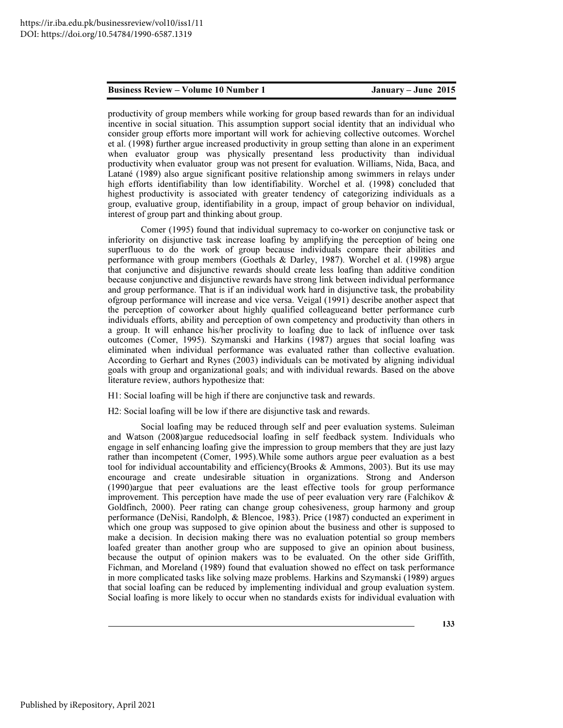productivity of group members while working for group based rewards than for an individual incentive in social situation. This assumption support social identity that an individual who consider group efforts more important will work for achieving collective outcomes. Worchel et al. (1998) further argue increased productivity in group setting than alone in an experiment when evaluator group was physically presentand less productivity than individual productivity when evaluator group was not present for evaluation. Williams, Nida, Baca, and Latané (1989) also argue significant positive relationship among swimmers in relays under high efforts identifiability than low identifiability. Worchel et al. (1998) concluded that highest productivity is associated with greater tendency of categorizing individuals as a group, evaluative group, identifiability in a group, impact of group behavior on individual, interest of group part and thinking about group.

Comer (1995) found that individual supremacy to co-worker on conjunctive task or inferiority on disjunctive task increase loafing by amplifying the perception of being one superfluous to do the work of group because individuals compare their abilities and performance with group members (Goethals & Darley, 1987). Worchel et al. (1998) argue that conjunctive and disjunctive rewards should create less loafing than additive condition because conjunctive and disjunctive rewards have strong link between individual performance and group performance. That is if an individual work hard in disjunctive task, the probability ofgroup performance will increase and vice versa. Veigal (1991) describe another aspect that the perception of coworker about highly qualified colleagueand better performance curb individuals efforts, ability and perception of own competency and productivity than others in a group. It will enhance his/her proclivity to loafing due to lack of influence over task outcomes (Comer, 1995). Szymanski and Harkins (1987) argues that social loafing was eliminated when individual performance was evaluated rather than collective evaluation. According to Gerhart and Rynes (2003) individuals can be motivated by aligning individual goals with group and organizational goals; and with individual rewards. Based on the above literature review, authors hypothesize that:

H1: Social loafing will be high if there are conjunctive task and rewards.

H2: Social loafing will be low if there are disjunctive task and rewards.

Social loafing may be reduced through self and peer evaluation systems. Suleiman and Watson (2008)argue reducedsocial loafing in self feedback system. Individuals who engage in self enhancing loafing give the impression to group members that they are just lazy rather than incompetent (Comer, 1995).While some authors argue peer evaluation as a best tool for individual accountability and efficiency(Brooks  $\&$  Ammons, 2003). But its use may encourage and create undesirable situation in organizations. Strong and Anderson (1990)argue that peer evaluations are the least effective tools for group performance improvement. This perception have made the use of peer evaluation very rare (Falchikov  $\&$ Goldfinch, 2000). Peer rating can change group cohesiveness, group harmony and group performance (DeNisi, Randolph, & Blencoe, 1983). Price (1987) conducted an experiment in which one group was supposed to give opinion about the business and other is supposed to make a decision. In decision making there was no evaluation potential so group members loafed greater than another group who are supposed to give an opinion about business, because the output of opinion makers was to be evaluated. On the other side Griffith, Fichman, and Moreland (1989) found that evaluation showed no effect on task performance in more complicated tasks like solving maze problems. Harkins and Szymanski (1989) argues that social loafing can be reduced by implementing individual and group evaluation system. Social loafing is more likely to occur when no standards exists for individual evaluation with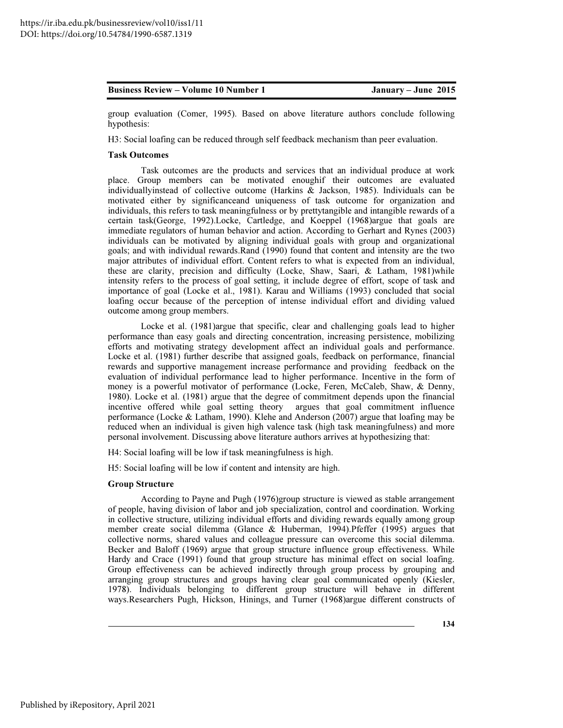group evaluation (Comer, 1995). Based on above literature authors conclude following hypothesis:

H3: Social loafing can be reduced through self feedback mechanism than peer evaluation.

#### Task Outcomes

Task outcomes are the products and services that an individual produce at work place. Group members can be motivated enoughif their outcomes are evaluated individuallyinstead of collective outcome (Harkins & Jackson, 1985). Individuals can be motivated either by significanceand uniqueness of task outcome for organization and individuals, this refers to task meaningfulness or by prettytangible and intangible rewards of a certain task(George, 1992).Locke, Cartledge, and Koeppel (1968)argue that goals are immediate regulators of human behavior and action. According to Gerhart and Rynes (2003) individuals can be motivated by aligning individual goals with group and organizational goals; and with individual rewards.Rand (1990) found that content and intensity are the two major attributes of individual effort. Content refers to what is expected from an individual, these are clarity, precision and difficulty (Locke, Shaw, Saari, & Latham, 1981)while intensity refers to the process of goal setting, it include degree of effort, scope of task and importance of goal (Locke et al., 1981). Karau and Williams (1993) concluded that social loafing occur because of the perception of intense individual effort and dividing valued outcome among group members.

Locke et al. (1981)argue that specific, clear and challenging goals lead to higher performance than easy goals and directing concentration, increasing persistence, mobilizing efforts and motivating strategy development affect an individual goals and performance. Locke et al. (1981) further describe that assigned goals, feedback on performance, financial rewards and supportive management increase performance and providing feedback on the evaluation of individual performance lead to higher performance. Incentive in the form of money is a powerful motivator of performance (Locke, Feren, McCaleb, Shaw, & Denny, 1980). Locke et al. (1981) argue that the degree of commitment depends upon the financial incentive offered while goal setting theory argues that goal commitment influence performance (Locke & Latham, 1990). Klehe and Anderson (2007) argue that loafing may be reduced when an individual is given high valence task (high task meaningfulness) and more personal involvement. Discussing above literature authors arrives at hypothesizing that:

H4: Social loafing will be low if task meaningfulness is high.

H5: Social loafing will be low if content and intensity are high.

#### Group Structure

According to Payne and Pugh (1976)group structure is viewed as stable arrangement of people, having division of labor and job specialization, control and coordination. Working in collective structure, utilizing individual efforts and dividing rewards equally among group member create social dilemma (Glance & Huberman, 1994).Pfeffer (1995) argues that collective norms, shared values and colleague pressure can overcome this social dilemma. Becker and Baloff (1969) argue that group structure influence group effectiveness. While Hardy and Crace (1991) found that group structure has minimal effect on social loafing. Group effectiveness can be achieved indirectly through group process by grouping and arranging group structures and groups having clear goal communicated openly (Kiesler, 1978). Individuals belonging to different group structure will behave in different ways.Researchers Pugh, Hickson, Hinings, and Turner (1968)argue different constructs of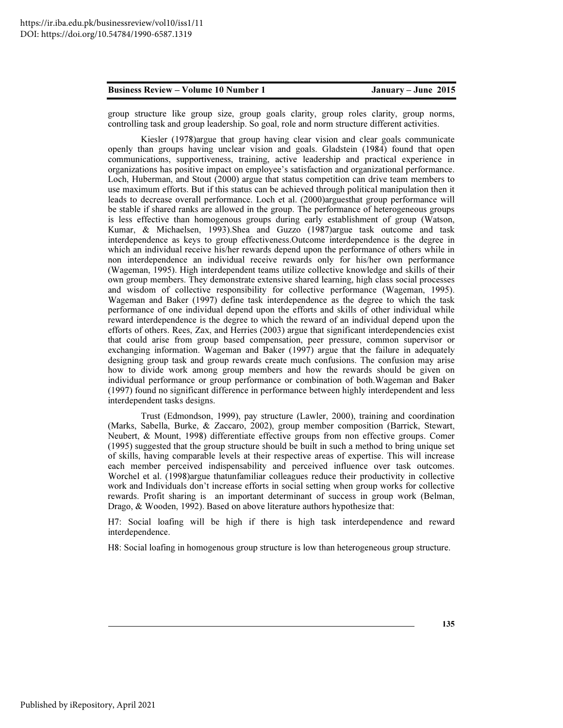group structure like group size, group goals clarity, group roles clarity, group norms, controlling task and group leadership. So goal, role and norm structure different activities.

Kiesler (1978)argue that group having clear vision and clear goals communicate openly than groups having unclear vision and goals. Gladstein (1984) found that open communications, supportiveness, training, active leadership and practical experience in organizations has positive impact on employee's satisfaction and organizational performance. Loch, Huberman, and Stout (2000) argue that status competition can drive team members to use maximum efforts. But if this status can be achieved through political manipulation then it leads to decrease overall performance. Loch et al. (2000)arguesthat group performance will be stable if shared ranks are allowed in the group. The performance of heterogeneous groups is less effective than homogenous groups during early establishment of group (Watson, Kumar, & Michaelsen, 1993).Shea and Guzzo (1987)argue task outcome and task interdependence as keys to group effectiveness.Outcome interdependence is the degree in which an individual receive his/her rewards depend upon the performance of others while in non interdependence an individual receive rewards only for his/her own performance (Wageman, 1995). High interdependent teams utilize collective knowledge and skills of their own group members. They demonstrate extensive shared learning, high class social processes and wisdom of collective responsibility for collective performance (Wageman, 1995). Wageman and Baker (1997) define task interdependence as the degree to which the task performance of one individual depend upon the efforts and skills of other individual while reward interdependence is the degree to which the reward of an individual depend upon the efforts of others. Rees, Zax, and Herries (2003) argue that significant interdependencies exist that could arise from group based compensation, peer pressure, common supervisor or exchanging information. Wageman and Baker (1997) argue that the failure in adequately designing group task and group rewards create much confusions. The confusion may arise how to divide work among group members and how the rewards should be given on individual performance or group performance or combination of both.Wageman and Baker (1997) found no significant difference in performance between highly interdependent and less interdependent tasks designs.

Trust (Edmondson, 1999), pay structure (Lawler, 2000), training and coordination (Marks, Sabella, Burke, & Zaccaro, 2002), group member composition (Barrick, Stewart, Neubert, & Mount, 1998) differentiate effective groups from non effective groups. Comer (1995) suggested that the group structure should be built in such a method to bring unique set of skills, having comparable levels at their respective areas of expertise. This will increase each member perceived indispensability and perceived influence over task outcomes. Worchel et al. (1998)argue thatunfamiliar colleagues reduce their productivity in collective work and Individuals don't increase efforts in social setting when group works for collective rewards. Profit sharing is an important determinant of success in group work (Belman, Drago, & Wooden, 1992). Based on above literature authors hypothesize that:

H7: Social loafing will be high if there is high task interdependence and reward interdependence.

H8: Social loafing in homogenous group structure is low than heterogeneous group structure.

135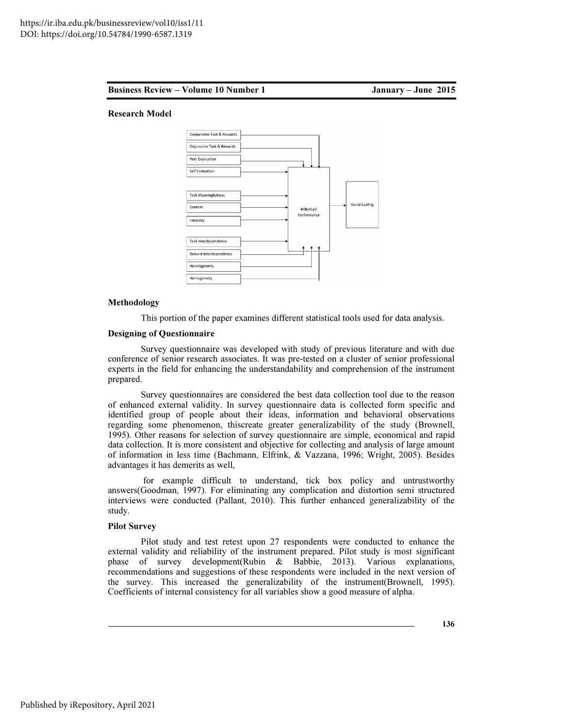#### Business Review – Volume

me 10 Number 1 January – June 2015

#### Research Model



#### Methodology

This portion of the paper examines different statistical tools used for data analysis.

#### Designing of Questionnaire Questionnaire

Survey questionnaire was developed with study of previous literature and with due Survey questionnaire was developed with study of previous literature and with due conference of senior research associates. It was pre-tested on a cluster of senior professional experts in the field for enhancing the understandability and comprehension of the instrument prepared.

Survey questionnaires are considered the best data collection tool due to the reason of enhanced external validity. In survey questionnaire data is collected form specific and identified group of people about their ideas, information and behavioral observations regarding some phenomenon, thiscreate greater generalizability of the study (Brownell, 1995). Other reasons for selection of survey questionnaire are simple, economical and rapid data collection. It is more consistent and objective for collecting and analysis of large amount of information in less time (Bachmann, Elfrink, & Vazzana, 1996; Wright, 2005). Besides advantages it has demerits as well, destionnaires are considered the best data collection tool due to the reason raal validity. In survey questionnaire data is collected form specific and of people about their ideas, information and behavioral observations 95). Other reasons for selection of survey questionnaire are simple, economical and rapid a collection. It is more consistent and objective for collecting and analysis of large amount information in less time (Bachmann, El was pre-tested on a cluster of senior professional<br>standability and comprehension of the instrument<br>red the best data collection tool due to the reason<br>uestionnaire data is collected form specific and<br>deas, information and

for example difficult to understand, tick box policy and untrustworthy for example difficult to understand, tick box policy and untrustworthy answers(Goodman, 1997). For eliminating any complication and distortion semi structured interviews were conducted (Pallant, 2010). This further enhanced generalizability of the study.

### Pilot Survey

Pilot study and test retest upon 27 respondents were conducted to enhance the Pilot study and test retest upon 27 respondents were conducted to enhance the external validity and reliability of the instrument prepared. Pilot study is most significant phase of survey development (Rubin  $\&$  Babbie, 2013). Various explanations, recommendations and suggestions of these respondents were included in the next version of recommendations and suggestions of these respondents were included in the next version of the survey. This increased the generalizability of the instrument(Brownell, 1995) Coefficients of internal consistency for all variables show a good measure of alpha.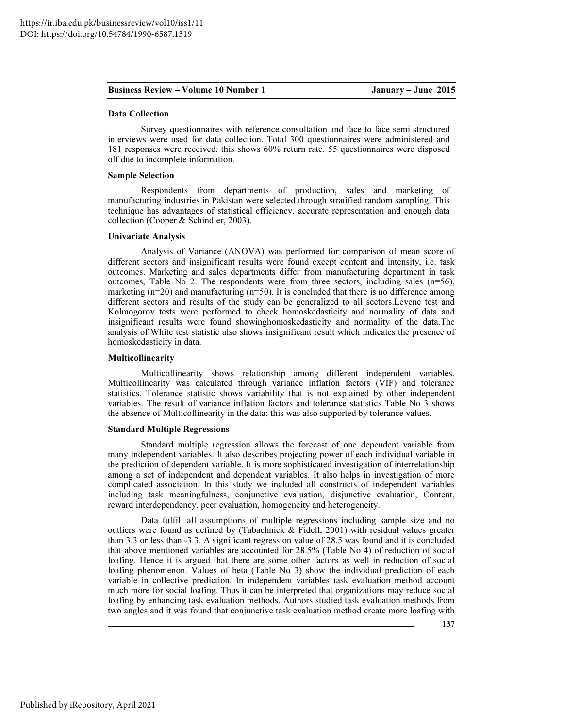#### Data Collection

Survey questionnaires with reference consultation and face to face semi structured interviews were used for data collection. Total 300 questionnaires were administered and 181 responses were received, this shows 60% return rate. 55 questionnaires were disposed off due to incomplete information.

#### Sample Selection

Respondents from departments of production, sales and marketing of manufacturing industries in Pakistan were selected through stratified random sampling. This technique has advantages of statistical efficiency, accurate representation and enough data collection (Cooper & Schindler, 2003).

#### Univariate Analysis

Analysis of Variance (ANOVA) was performed for comparison of mean score of different sectors and insignificant results were found except content and intensity, i.e. task outcomes. Marketing and sales departments differ from manufacturing department in task outcomes, Table No 2. The respondents were from three sectors, including sales  $(n=56)$ , marketing  $(n=20)$  and manufacturing  $(n=50)$ . It is concluded that there is no difference among different sectors and results of the study can be generalized to all sectors.Levene test and Kolmogorov tests were performed to check homoskedasticity and normality of data and insignificant results were found showinghomoskedasticity and normality of the data.The analysis of White test statistic also shows insignificant result which indicates the presence of homoskedasticity in data.

#### Multicollinearity

Multicollinearity shows relationship among different independent variables. Multicollinearity was calculated through variance inflation factors (VIF) and tolerance statistics. Tolerance statistic shows variability that is not explained by other independent variables. The result of variance inflation factors and tolerance statistics Table No 3 shows the absence of Multicollinearity in the data; this was also supported by tolerance values.

#### Standard Multiple Regressions

Standard multiple regression allows the forecast of one dependent variable from many independent variables. It also describes projecting power of each individual variable in the prediction of dependent variable. It is more sophisticated investigation of interrelationship among a set of independent and dependent variables. It also helps in investigation of more complicated association. In this study we included all constructs of independent variables including task meaningfulness, conjunctive evaluation, disjunctive evaluation, Content, reward interdependency, peer evaluation, homogeneity and heterogeneity.

Data fulfill all assumptions of multiple regressions including sample size and no outliers were found as defined by (Tabachnick & Fidell, 2001) with residual values greater than 3.3 or less than -3.3. A significant regression value of 28.5 was found and it is concluded that above mentioned variables are accounted for 28.5% (Table No 4) of reduction of social loafing. Hence it is argued that there are some other factors as well in reduction of social loafing phenomenon. Values of beta (Table No 3) show the individual prediction of each variable in collective prediction. In independent variables task evaluation method account much more for social loafing. Thus it can be interpreted that organizations may reduce social loafing by enhancing task evaluation methods. Authors studied task evaluation methods from two angles and it was found that conjunctive task evaluation method create more loafing with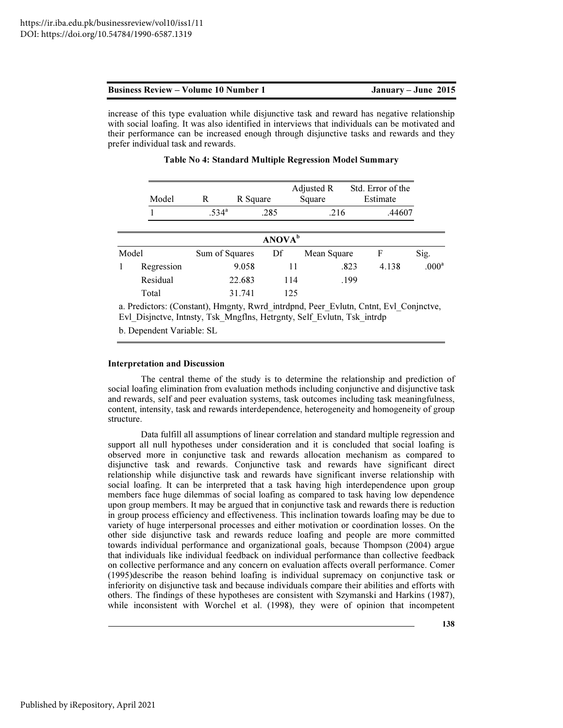| <b>Business Review – Volume 10 Number 1</b> | January – June 2015 |
|---------------------------------------------|---------------------|
|---------------------------------------------|---------------------|

increase of this type evaluation while disjunctive task and reward has negative relationship with social loafing. It was also identified in interviews that individuals can be motivated and their performance can be increased enough through disjunctive tasks and rewards and they prefer individual task and rewards.

|   | Model      | R              |        | R Square           | Adjusted R<br>Square | Std. Error of the<br>Estimate |        |                   |
|---|------------|----------------|--------|--------------------|----------------------|-------------------------------|--------|-------------------|
|   |            | $.534^{\circ}$ |        | .285               | .216                 |                               | .44607 |                   |
|   |            |                |        | ANOVA <sup>b</sup> |                      |                               |        |                   |
|   | Model      | Sum of Squares |        | Df                 | Mean Square          | F                             |        | Sig.              |
| 1 | Regression |                | 9.058  | 11                 |                      | .823                          | 4.138  | .000 <sup>a</sup> |
|   | Residual   |                | 22.683 | 114                |                      | .199                          |        |                   |
|   | Total      |                | 31.741 | 125                |                      |                               |        |                   |

### Table No 4: Standard Multiple Regression Model Summary

a. Predictors: (Constant), Hmgnty, Rwrd\_intrdpnd, Peer\_Evlutn, Cntnt, Evl\_Conjnctve, Evl\_Disjnctve, Intnsty, Tsk\_Mngflns, Hetrgnty, Self\_Evlutn, Tsk\_intrdp

b. Dependent Variable: SL

#### Interpretation and Discussion

The central theme of the study is to determine the relationship and prediction of social loafing elimination from evaluation methods including conjunctive and disjunctive task and rewards, self and peer evaluation systems, task outcomes including task meaningfulness, content, intensity, task and rewards interdependence, heterogeneity and homogeneity of group structure.

Data fulfill all assumptions of linear correlation and standard multiple regression and support all null hypotheses under consideration and it is concluded that social loafing is observed more in conjunctive task and rewards allocation mechanism as compared to disjunctive task and rewards. Conjunctive task and rewards have significant direct relationship while disjunctive task and rewards have significant inverse relationship with social loafing. It can be interpreted that a task having high interdependence upon group members face huge dilemmas of social loafing as compared to task having low dependence upon group members. It may be argued that in conjunctive task and rewards there is reduction in group process efficiency and effectiveness. This inclination towards loafing may be due to variety of huge interpersonal processes and either motivation or coordination losses. On the other side disjunctive task and rewards reduce loafing and people are more committed towards individual performance and organizational goals, because Thompson (2004) argue that individuals like individual feedback on individual performance than collective feedback on collective performance and any concern on evaluation affects overall performance. Comer (1995)describe the reason behind loafing is individual supremacy on conjunctive task or inferiority on disjunctive task and because individuals compare their abilities and efforts with others. The findings of these hypotheses are consistent with Szymanski and Harkins (1987), while inconsistent with Worchel et al. (1998), they were of opinion that incompetent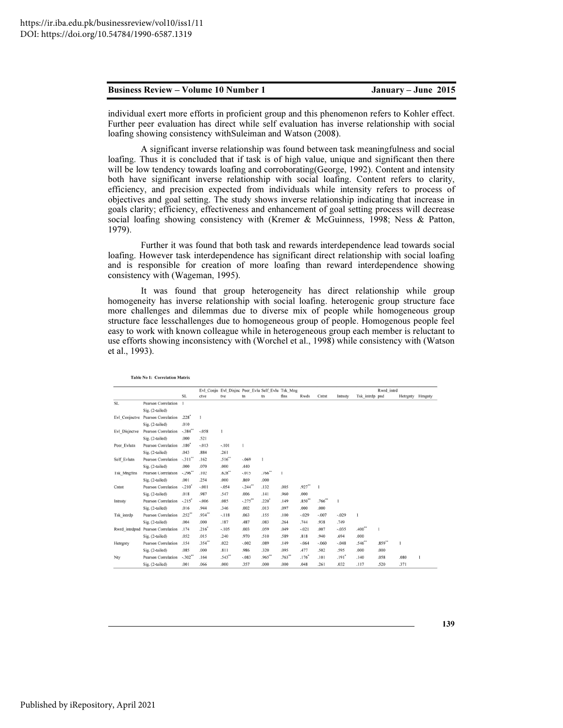Table No 1: Correlation Matrix

individual exert more efforts in proficient group and this phenomenon refers to Kohler effect. Further peer evaluation has direct while self evaluation has inverse relationship with social loafing showing consistency withSuleiman and Watson (2008).

A significant inverse relationship was found between task meaningfulness and social loafing. Thus it is concluded that if task is of high value, unique and significant then there will be low tendency towards loafing and corroborating(George, 1992). Content and intensity both have significant inverse relationship with social loafing. Content refers to clarity, efficiency, and precision expected from individuals while intensity refers to process of objectives and goal setting. The study shows inverse relationship indicating that increase in goals clarity; efficiency, effectiveness and enhancement of goal setting process will decrease social loafing showing consistency with (Kremer & McGuinness, 1998; Ness & Patton, 1979).

Further it was found that both task and rewards interdependence lead towards social loafing. However task interdependence has significant direct relationship with social loafing and is responsible for creation of more loafing than reward interdependence showing consistency with (Wageman, 1995).

It was found that group heterogeneity has direct relationship while group homogeneity has inverse relationship with social loafing. heterogenic group structure face more challenges and dilemmas due to diverse mix of people while homogeneous group structure face lesschallenges due to homogeneous group of people. Homogenous people feel easy to work with known colleague while in heterogeneous group each member is reluctant to use efforts showing inconsistency with (Worchel et al., 1998) while consistency with (Watson et al., 1993).

|                    |                                   |                     |              | Evl Conin Evl Disinc Peer Evlu Self Evlu Tsk Mng |                |              |          |          |              |                     |                | Rwrd intrd |              |        |
|--------------------|-----------------------------------|---------------------|--------------|--------------------------------------------------|----------------|--------------|----------|----------|--------------|---------------------|----------------|------------|--------------|--------|
|                    |                                   | SL                  | ctve         | tve                                              | t <sub>n</sub> | tn           | flns     | Rwds     | Cntnt        | Intnsty             | Tsk intrdp pnd |            | Hetrgnty     | Hmgnty |
| SL                 | <b>Pearson Correlation</b>        | $\mathbf{1}$        |              |                                                  |                |              |          |          |              |                     |                |            |              |        |
|                    | Sig. (2-tailed)                   |                     |              |                                                  |                |              |          |          |              |                     |                |            |              |        |
|                    | Evl Conjnctve Pearson Correlation | $.228$ <sup>*</sup> | $\mathbf{1}$ |                                                  |                |              |          |          |              |                     |                |            |              |        |
|                    | Sig. (2-tailed)                   | .010                |              |                                                  |                |              |          |          |              |                     |                |            |              |        |
| Evl Disjnctve      | Pearson Correlation               | $-.384"$            | $-.058$      |                                                  |                |              |          |          |              |                     |                |            |              |        |
|                    | Sig. (2-tailed)                   | .000                | .521         |                                                  |                |              |          |          |              |                     |                |            |              |        |
| Peer Evlutn        | <b>Pearson Correlation</b>        | .180 <sup>°</sup>   | $-.013$      | $-.101$                                          | $\mathbf{1}$   |              |          |          |              |                     |                |            |              |        |
|                    | Sig. (2-tailed)                   | .043                | .884         | .261                                             |                |              |          |          |              |                     |                |            |              |        |
| Self Evlutn        | Pearson Correlation               | $-.311"$            | .162         | $.516**$                                         | $-.069$        | $\mathbf{I}$ |          |          |              |                     |                |            |              |        |
|                    | Sig. (2-tailed)                   | .000                | .070         | .000                                             | .440           |              |          |          |              |                     |                |            |              |        |
| <b>Tsk Mngflns</b> | <b>Pearson Correlation</b>        | $-.296$ **          | .102         | .628"                                            | $-015$         | $.766$ **    | п        |          |              |                     |                |            |              |        |
|                    | Sig. (2-tailed)                   | .001                | .254         | .000                                             | .869           | .000         |          |          |              |                     |                |            |              |        |
| Cntnt              | <b>Pearson Correlation</b>        | $-.210'$            | $-.001$      | $-.054$                                          | $-.244"$       | .132         | .005     | $.927**$ | $\mathbf{I}$ |                     |                |            |              |        |
|                    | Sig. (2-tailed)                   | .018                | .987         | .547                                             | .006           | .141         | .960     | .000     |              |                     |                |            |              |        |
| Intnsty            | <b>Pearson Correlation</b>        | $-.215"$            | $-.006$      | .085                                             | $-.275$ **     | .220'        | .149     | $.850**$ | .766"        | 1                   |                |            |              |        |
|                    | Sig. (2-tailed)                   | .016                | .944         | .346                                             | .002           | .013         | .097     | .000     | .000         |                     |                |            |              |        |
| Tsk intrdp         | <b>Pearson Correlation</b>        | $.252$ **           | $.934$ **    | $-.118$                                          | .063           | .155         | .100     | $-.029$  | $-.007$      | $-.029$             | 1              |            |              |        |
|                    | Sig. (2-tailed)                   | .004                | .000         | .187                                             | .487           | .083         | .264     | .744     | .938         | .749                |                |            |              |        |
|                    | Rwrd intrdpnd Pearson Correlation | .174                | .216'        | $-.105$                                          | .003           | .059         | .049     | $-.021$  | .007         | $-.035$             | .400           |            |              |        |
|                    | Sig. (2-tailed)                   | .052                | .015         | .240                                             | .970           | .510         | .589     | .818     | .940         | .694                | .000           |            |              |        |
| Hetrgnty           | <b>Pearson Correlation</b>        | .154                | $.354$ **    | .022                                             | $-.002$        | .089         | .149     | $-.064$  | $-.060$      | $-.048$             | .546"          | $.859**$   | $\mathbf{1}$ |        |
|                    | Sig. (2-tailed)                   | .085                | .000         | .811                                             | .986           | .320         | .095     | .477     | .502         | .595                | .000           | .000       |              |        |
| Nty                | <b>Pearson Correlation</b>        | $-.302"$            | .164         | .543"                                            | $-.083$        | $.965$ **    | $.763**$ | .176     | .101         | $.191$ <sup>*</sup> | .140           | .058       | .080         |        |
|                    | Sig. (2-tailed)                   | .001                | .066         | .000                                             | .357           | .000         | .000     | .048     | .261         | .032                | .117           | .520       | .371         |        |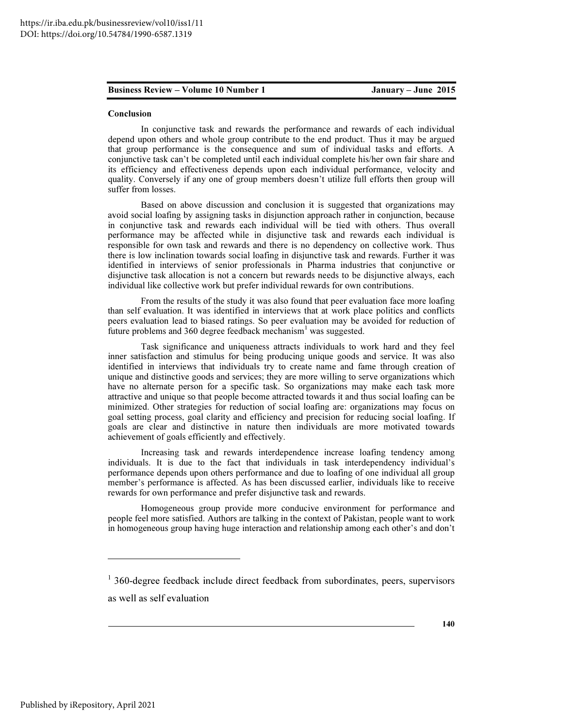#### Conclusion

In conjunctive task and rewards the performance and rewards of each individual depend upon others and whole group contribute to the end product. Thus it may be argued that group performance is the consequence and sum of individual tasks and efforts. A conjunctive task can't be completed until each individual complete his/her own fair share and its efficiency and effectiveness depends upon each individual performance, velocity and quality. Conversely if any one of group members doesn't utilize full efforts then group will suffer from losses.

Based on above discussion and conclusion it is suggested that organizations may avoid social loafing by assigning tasks in disjunction approach rather in conjunction, because in conjunctive task and rewards each individual will be tied with others. Thus overall performance may be affected while in disjunctive task and rewards each individual is responsible for own task and rewards and there is no dependency on collective work. Thus there is low inclination towards social loafing in disjunctive task and rewards. Further it was identified in interviews of senior professionals in Pharma industries that conjunctive or disjunctive task allocation is not a concern but rewards needs to be disjunctive always, each individual like collective work but prefer individual rewards for own contributions.

From the results of the study it was also found that peer evaluation face more loafing than self evaluation. It was identified in interviews that at work place politics and conflicts peers evaluation lead to biased ratings. So peer evaluation may be avoided for reduction of future problems and  $360$  degree feedback mechanism<sup>1</sup> was suggested.

Task significance and uniqueness attracts individuals to work hard and they feel inner satisfaction and stimulus for being producing unique goods and service. It was also identified in interviews that individuals try to create name and fame through creation of unique and distinctive goods and services; they are more willing to serve organizations which have no alternate person for a specific task. So organizations may make each task more attractive and unique so that people become attracted towards it and thus social loafing can be minimized. Other strategies for reduction of social loafing are: organizations may focus on goal setting process, goal clarity and efficiency and precision for reducing social loafing. If goals are clear and distinctive in nature then individuals are more motivated towards achievement of goals efficiently and effectively.

Increasing task and rewards interdependence increase loafing tendency among individuals. It is due to the fact that individuals in task interdependency individual's performance depends upon others performance and due to loafing of one individual all group member's performance is affected. As has been discussed earlier, individuals like to receive rewards for own performance and prefer disjunctive task and rewards.

Homogeneous group provide more conducive environment for performance and people feel more satisfied. Authors are talking in the context of Pakistan, people want to work in homogeneous group having huge interaction and relationship among each other's and don't

 $\overline{a}$ 

<sup>&</sup>lt;sup>1</sup> 360-degree feedback include direct feedback from subordinates, peers, supervisors as well as self evaluation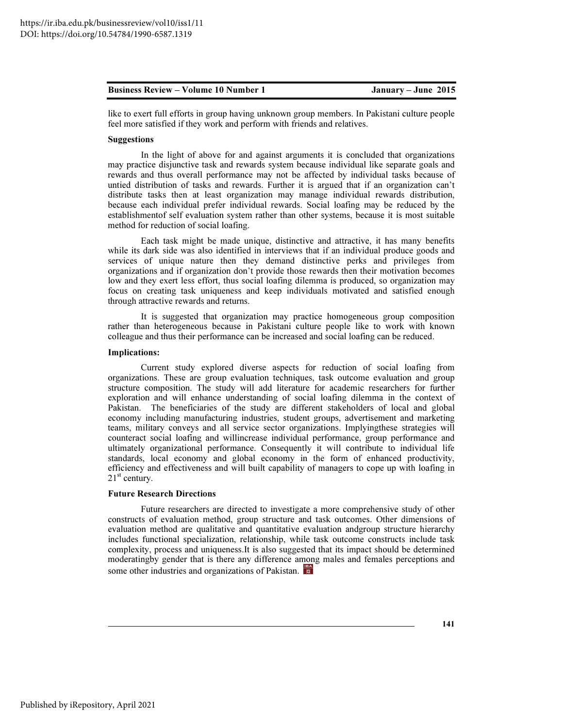like to exert full efforts in group having unknown group members. In Pakistani culture people feel more satisfied if they work and perform with friends and relatives.

#### Suggestions

In the light of above for and against arguments it is concluded that organizations may practice disjunctive task and rewards system because individual like separate goals and rewards and thus overall performance may not be affected by individual tasks because of untied distribution of tasks and rewards. Further it is argued that if an organization can't distribute tasks then at least organization may manage individual rewards distribution, because each individual prefer individual rewards. Social loafing may be reduced by the establishmentof self evaluation system rather than other systems, because it is most suitable method for reduction of social loafing.

Each task might be made unique, distinctive and attractive, it has many benefits while its dark side was also identified in interviews that if an individual produce goods and services of unique nature then they demand distinctive perks and privileges from organizations and if organization don't provide those rewards then their motivation becomes low and they exert less effort, thus social loafing dilemma is produced, so organization may focus on creating task uniqueness and keep individuals motivated and satisfied enough through attractive rewards and returns.

It is suggested that organization may practice homogeneous group composition rather than heterogeneous because in Pakistani culture people like to work with known colleague and thus their performance can be increased and social loafing can be reduced.

#### Implications:

Current study explored diverse aspects for reduction of social loafing from organizations. These are group evaluation techniques, task outcome evaluation and group structure composition. The study will add literature for academic researchers for further exploration and will enhance understanding of social loafing dilemma in the context of Pakistan. The beneficiaries of the study are different stakeholders of local and global economy including manufacturing industries, student groups, advertisement and marketing teams, military conveys and all service sector organizations. Implyingthese strategies will counteract social loafing and willincrease individual performance, group performance and ultimately organizational performance. Consequently it will contribute to individual life standards, local economy and global economy in the form of enhanced productivity, efficiency and effectiveness and will built capability of managers to cope up with loafing in  $21<sup>st</sup>$  century.

#### Future Research Directions

Future researchers are directed to investigate a more comprehensive study of other constructs of evaluation method, group structure and task outcomes. Other dimensions of evaluation method are qualitative and quantitative evaluation andgroup structure hierarchy includes functional specialization, relationship, while task outcome constructs include task complexity, process and uniqueness.It is also suggested that its impact should be determined moderatingby gender that is there any difference among males and females perceptions and some other industries and organizations of Pakistan.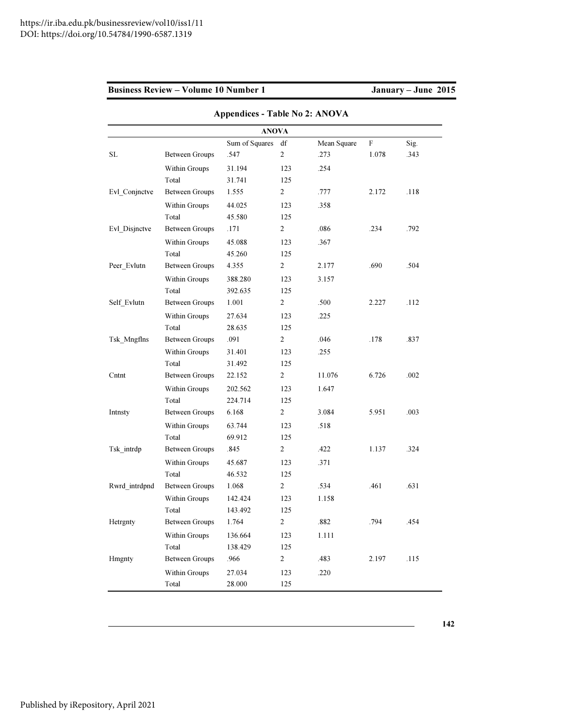|               |                       | <b>Appendices - Table No 2: ANOVA</b> |                |             |                           |      |
|---------------|-----------------------|---------------------------------------|----------------|-------------|---------------------------|------|
|               |                       | <b>ANOVA</b>                          |                |             |                           |      |
|               |                       | Sum of Squares                        | df             | Mean Square | $\boldsymbol{\mathrm{F}}$ | Sig. |
| SL            | <b>Between Groups</b> | .547                                  | $\overline{c}$ | .273        | 1.078                     | .343 |
|               | Within Groups         | 31.194                                | 123            | .254        |                           |      |
|               | Total                 | 31.741                                | 125            |             |                           |      |
| Evl_Conjnctve | <b>Between Groups</b> | 1.555                                 | $\overline{2}$ | .777        | 2.172                     | .118 |
|               | Within Groups         | 44.025                                | 123            | .358        |                           |      |
|               | Total                 | 45.580                                | 125            |             |                           |      |
| Evl Disjnctve | <b>Between Groups</b> | .171                                  | 2              | .086        | .234                      | .792 |
|               | Within Groups         | 45.088                                | 123            | .367        |                           |      |
|               | Total                 | 45.260                                | 125            |             |                           |      |
| Peer Evlutn   | <b>Between Groups</b> | 4.355                                 | 2              | 2.177       | .690                      | .504 |
|               | Within Groups         | 388.280                               | 123            | 3.157       |                           |      |
|               | Total                 | 392.635                               | 125            |             |                           |      |
| Self_Evlutn   | <b>Between Groups</b> | 1.001                                 | $\overline{2}$ | .500        | 2.227                     | .112 |
|               | Within Groups         | 27.634                                | 123            | .225        |                           |      |
|               | Total                 | 28.635                                | 125            |             |                           |      |
| Tsk Mngflns   | <b>Between Groups</b> | .091                                  | $\overline{c}$ | .046        | .178                      | .837 |
|               | Within Groups         | 31.401                                | 123            | .255        |                           |      |
|               | Total                 | 31.492                                | 125            |             |                           |      |
| Cntnt         | <b>Between Groups</b> | 22.152                                | 2              | 11.076      | 6.726                     | .002 |
|               | Within Groups         | 202.562                               | 123            | 1.647       |                           |      |
|               | Total                 | 224.714                               | 125            |             |                           |      |
| Intnsty       | <b>Between Groups</b> | 6.168                                 | $\overline{2}$ | 3.084       | 5.951                     | .003 |
|               | Within Groups         | 63.744                                | 123            | .518        |                           |      |
|               | Total                 | 69.912                                | 125            |             |                           |      |
| Tsk intrdp    | <b>Between Groups</b> | .845                                  | 2              | .422        | 1.137                     | .324 |
|               | Within Groups         | 45.687                                | 123            | .371        |                           |      |
|               | Total                 | 46.532                                | 125            |             |                           |      |
| Rwrd_intrdpnd | <b>Between Groups</b> | 1.068                                 | 2              | .534        | .461                      | .631 |
|               | Within Groups         | 142.424                               | 123            | 1.158       |                           |      |
|               | Total                 | 143.492                               | 125            |             |                           |      |
| Hetrgnty      | <b>Between Groups</b> | 1.764                                 | $\overline{c}$ | $.882\,$    | .794                      | .454 |
|               | Within Groups         | 136.664                               | 123            | 1.111       |                           |      |
|               | Total                 | 138.429                               | 125            |             |                           |      |
| Hmgnty        | <b>Between Groups</b> | .966                                  | $\overline{c}$ | .483        | 2.197                     | .115 |
|               | Within Groups         | 27.034                                | 123            | .220        |                           |      |
|               | Total                 | 28.000                                | 125            |             |                           |      |

142

 $\overline{\phantom{a}}$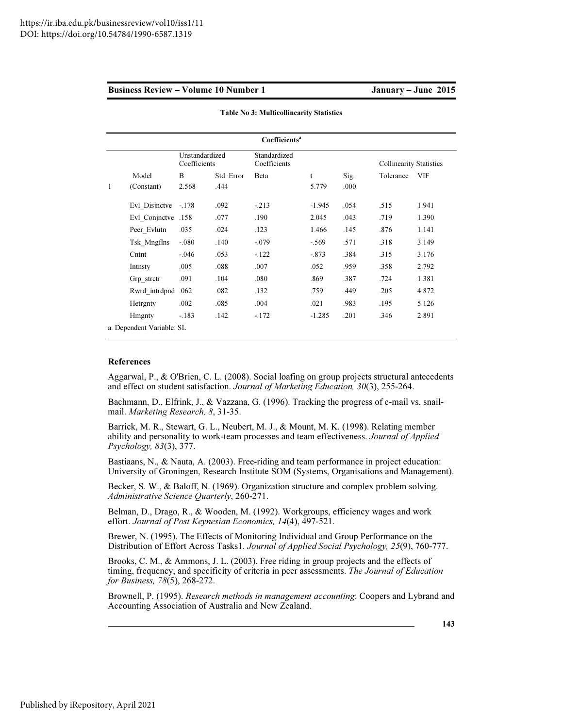|                           |                                |            | Coefficients <sup>a</sup>    |          |      |                                |            |  |
|---------------------------|--------------------------------|------------|------------------------------|----------|------|--------------------------------|------------|--|
|                           | Unstandardized<br>Coefficients |            | Standardized<br>Coefficients |          |      | <b>Collinearity Statistics</b> |            |  |
| Model                     | B                              | Std. Error | Beta                         | t        | Sig. | Tolerance                      | <b>VIF</b> |  |
| 1<br>(Constant)           | 2.568                          | .444       |                              | 5.779    | .000 |                                |            |  |
| Evl Disjnctve             | $-.178$                        | .092       | $-213$                       | $-1.945$ | .054 | .515                           | 1.941      |  |
| Evl Conjnctve .158        |                                | .077       | .190                         | 2.045    | .043 | .719                           | 1.390      |  |
| Peer Evlutn               | .035                           | .024       | .123                         | 1.466    | .145 | .876                           | 1.141      |  |
| Tsk Mngflns               | $-.080$                        | .140       | $-.079$                      | $-.569$  | .571 | .318                           | 3.149      |  |
| Cntnt                     | $-.046$                        | .053       | $-122$                       | $-.873$  | .384 | .315                           | 3.176      |  |
| Intnsty                   | .005                           | .088       | .007                         | .052     | .959 | .358                           | 2.792      |  |
| Grp stretr                | .091                           | .104       | .080                         | .869     | .387 | .724                           | 1.381      |  |
| Rwrd intrdpnd             | .062                           | .082       | .132                         | .759     | .449 | .205                           | 4.872      |  |
| Hetrgnty                  | .002                           | .085       | .004                         | .021     | .983 | .195                           | 5.126      |  |
| <b>H</b> mgnty            | $-183$                         | .142       | $-172$                       | $-1.285$ | .201 | .346                           | 2.891      |  |
| a. Dependent Variable: SL |                                |            |                              |          |      |                                |            |  |

Table No 3: Multicollinearity Statistics

#### References

Aggarwal, P., & O'Brien, C. L. (2008). Social loafing on group projects structural antecedents and effect on student satisfaction. *Journal of Marketing Education, 30*(3), 255-264.

Bachmann, D., Elfrink, J., & Vazzana, G. (1996). Tracking the progress of e-mail vs. snailmail. *Marketing Research, 8*, 31-35.

Barrick, M. R., Stewart, G. L., Neubert, M. J., & Mount, M. K. (1998). Relating member ability and personality to work-team processes and team effectiveness. *Journal of Applied Psychology, 83*(3), 377.

Bastiaans, N., & Nauta, A. (2003). Free-riding and team performance in project education: University of Groningen, Research Institute SOM (Systems, Organisations and Management).

Becker, S. W., & Baloff, N. (1969). Organization structure and complex problem solving. *Administrative Science Quarterly*, 260-271.

Belman, D., Drago, R., & Wooden, M. (1992). Workgroups, efficiency wages and work effort. *Journal of Post Keynesian Economics, 14*(4), 497-521.

Brewer, N. (1995). The Effects of Monitoring Individual and Group Performance on the Distribution of Effort Across Tasks1. *Journal of Applied Social Psychology, 25*(9), 760-777.

Brooks, C. M., & Ammons, J. L. (2003). Free riding in group projects and the effects of timing, frequency, and specificity of criteria in peer assessments. *The Journal of Education for Business, 78*(5), 268-272.

Brownell, P. (1995). *Research methods in management accounting*: Coopers and Lybrand and Accounting Association of Australia and New Zealand.

143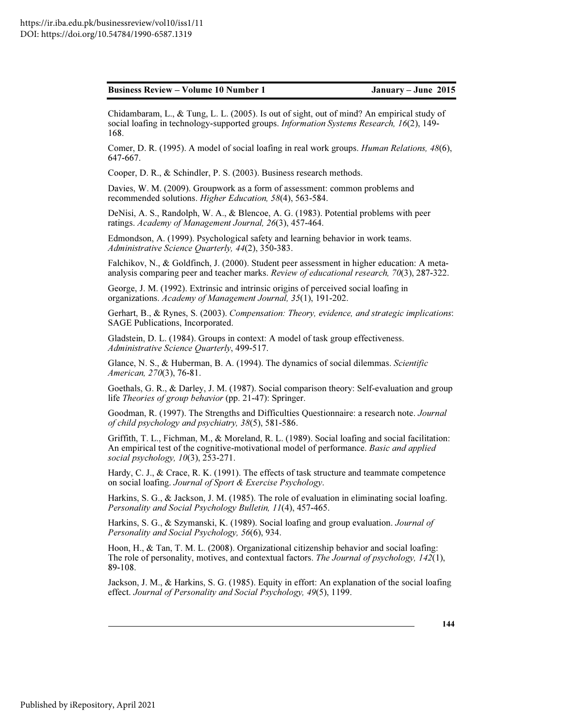| <b>Business Review – Volume 10 Number 1</b> |  |  |  |
|---------------------------------------------|--|--|--|
|                                             |  |  |  |

Chidambaram, L., & Tung, L. L. (2005). Is out of sight, out of mind? An empirical study of social loafing in technology-supported groups. *Information Systems Research, 16*(2), 149- 168.

Comer, D. R. (1995). A model of social loafing in real work groups. *Human Relations, 48*(6), 647-667.

Cooper, D. R., & Schindler, P. S. (2003). Business research methods.

Davies, W. M. (2009). Groupwork as a form of assessment: common problems and recommended solutions. *Higher Education, 58*(4), 563-584.

DeNisi, A. S., Randolph, W. A., & Blencoe, A. G. (1983). Potential problems with peer ratings. *Academy of Management Journal, 26*(3), 457-464.

Edmondson, A. (1999). Psychological safety and learning behavior in work teams. *Administrative Science Quarterly, 44*(2), 350-383.

Falchikov, N., & Goldfinch, J. (2000). Student peer assessment in higher education: A metaanalysis comparing peer and teacher marks. *Review of educational research, 70*(3), 287-322.

George, J. M. (1992). Extrinsic and intrinsic origins of perceived social loafing in organizations. *Academy of Management Journal, 35*(1), 191-202.

Gerhart, B., & Rynes, S. (2003). *Compensation: Theory, evidence, and strategic implications*: SAGE Publications, Incorporated.

Gladstein, D. L. (1984). Groups in context: A model of task group effectiveness. *Administrative Science Quarterly*, 499-517.

Glance, N. S., & Huberman, B. A. (1994). The dynamics of social dilemmas. *Scientific American, 270*(3), 76-81.

Goethals, G. R., & Darley, J. M. (1987). Social comparison theory: Self-evaluation and group life *Theories of group behavior* (pp. 21-47): Springer.

Goodman, R. (1997). The Strengths and Difficulties Questionnaire: a research note. *Journal of child psychology and psychiatry, 38*(5), 581-586.

Griffith, T. L., Fichman, M., & Moreland, R. L. (1989). Social loafing and social facilitation: An empirical test of the cognitive-motivational model of performance. *Basic and applied social psychology, 10*(3), 253-271.

Hardy, C. J., & Crace, R. K. (1991). The effects of task structure and teammate competence on social loafing. *Journal of Sport & Exercise Psychology*.

Harkins, S. G., & Jackson, J. M. (1985). The role of evaluation in eliminating social loafing. *Personality and Social Psychology Bulletin, 11*(4), 457-465.

Harkins, S. G., & Szymanski, K. (1989). Social loafing and group evaluation. *Journal of Personality and Social Psychology, 56*(6), 934.

Hoon, H., & Tan, T. M. L. (2008). Organizational citizenship behavior and social loafing: The role of personality, motives, and contextual factors. *The Journal of psychology, 142*(1), 89-108.

Jackson, J. M., & Harkins, S. G. (1985). Equity in effort: An explanation of the social loafing effect. *Journal of Personality and Social Psychology, 49*(5), 1199.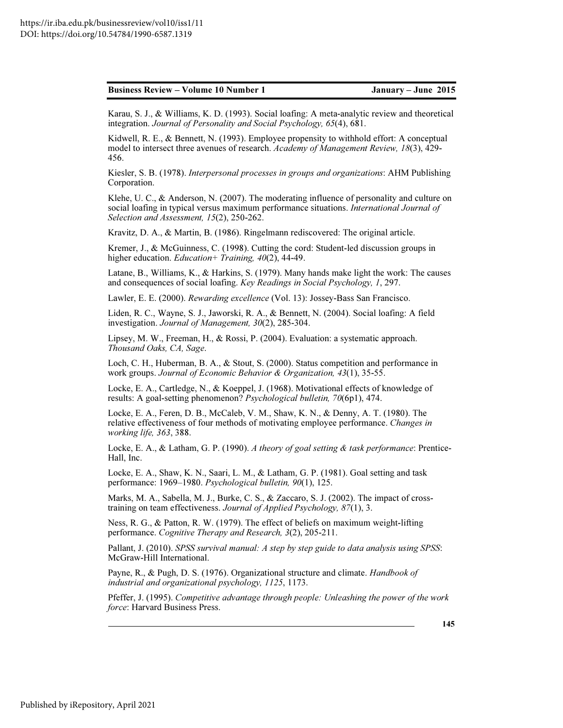Karau, S. J., & Williams, K. D. (1993). Social loafing: A meta-analytic review and theoretical integration. *Journal of Personality and Social Psychology, 65*(4), 681.

Kidwell, R. E., & Bennett, N. (1993). Employee propensity to withhold effort: A conceptual model to intersect three avenues of research. *Academy of Management Review, 18*(3), 429- 456.

Kiesler, S. B. (1978). *Interpersonal processes in groups and organizations*: AHM Publishing Corporation.

Klehe, U. C., & Anderson, N. (2007). The moderating influence of personality and culture on social loafing in typical versus maximum performance situations. *International Journal of Selection and Assessment, 15*(2), 250-262.

Kravitz, D. A., & Martin, B. (1986). Ringelmann rediscovered: The original article.

Kremer, J., & McGuinness, C. (1998). Cutting the cord: Student-led discussion groups in higher education. *Education+ Training, 40*(2), 44-49.

Latane, B., Williams, K., & Harkins, S. (1979). Many hands make light the work: The causes and consequences of social loafing. *Key Readings in Social Psychology, 1*, 297.

Lawler, E. E. (2000). *Rewarding excellence* (Vol. 13): Jossey-Bass San Francisco.

Liden, R. C., Wayne, S. J., Jaworski, R. A., & Bennett, N. (2004). Social loafing: A field investigation. *Journal of Management, 30*(2), 285-304.

Lipsey, M. W., Freeman, H., & Rossi, P. (2004). Evaluation: a systematic approach. *Thousand Oaks, CA, Sage*.

Loch, C. H., Huberman, B. A., & Stout, S. (2000). Status competition and performance in work groups. *Journal of Economic Behavior & Organization, 43*(1), 35-55.

Locke, E. A., Cartledge, N., & Koeppel, J. (1968). Motivational effects of knowledge of results: A goal-setting phenomenon? *Psychological bulletin, 70*(6p1), 474.

Locke, E. A., Feren, D. B., McCaleb, V. M., Shaw, K. N., & Denny, A. T. (1980). The relative effectiveness of four methods of motivating employee performance. *Changes in working life, 363*, 388.

Locke, E. A., & Latham, G. P. (1990). *A theory of goal setting & task performance*: Prentice-Hall, Inc.

Locke, E. A., Shaw, K. N., Saari, L. M., & Latham, G. P. (1981). Goal setting and task performance: 1969–1980. *Psychological bulletin, 90*(1), 125.

Marks, M. A., Sabella, M. J., Burke, C. S., & Zaccaro, S. J. (2002). The impact of crosstraining on team effectiveness. *Journal of Applied Psychology, 87*(1), 3.

Ness, R. G., & Patton, R. W. (1979). The effect of beliefs on maximum weight-lifting performance. *Cognitive Therapy and Research, 3*(2), 205-211.

Pallant, J. (2010). *SPSS survival manual: A step by step guide to data analysis using SPSS*: McGraw-Hill International.

Payne, R., & Pugh, D. S. (1976). Organizational structure and climate. *Handbook of industrial and organizational psychology, 1125*, 1173.

Pfeffer, J. (1995). *Competitive advantage through people: Unleashing the power of the work force*: Harvard Business Press.